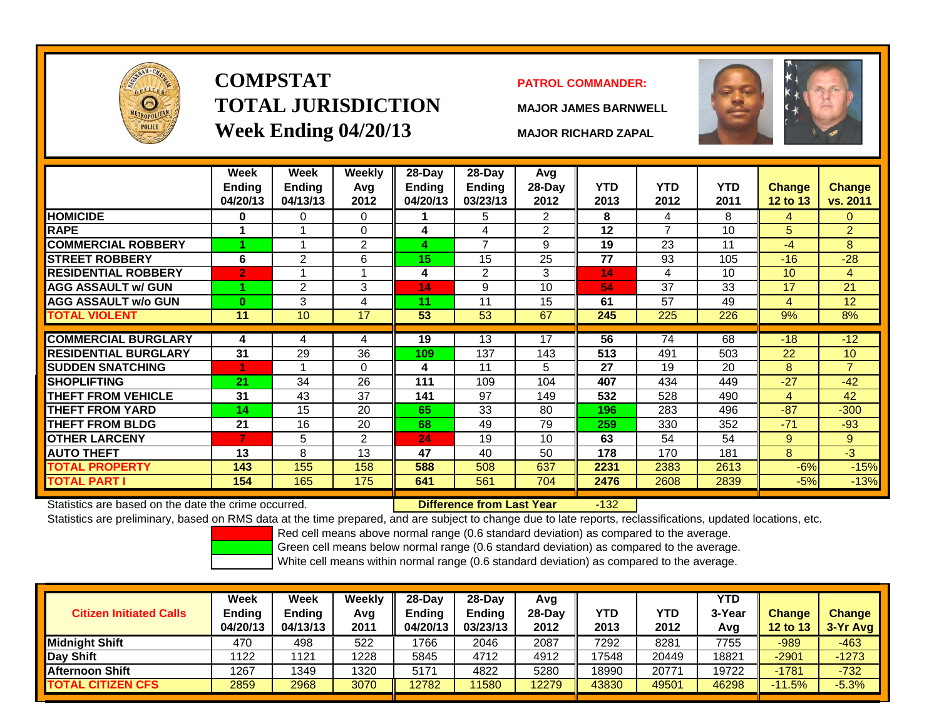

# **COMPSTATTOTAL JURISDICTIONWeek Ending 04/20/13 MAJOR RICHARD ZAPAL**

## **PATROL COMMANDER:**

**MAJOR JAMES BARNWELL**

 $-132$ 



|                             | Week<br><b>Ending</b><br>04/20/13 | Week<br><b>Ending</b><br>04/13/13 | Weekly<br>Avg<br>2012 | $28$ -Day<br><b>Ending</b><br>04/20/13 | $28$ -Day<br><b>Ending</b><br>03/23/13 | Avg<br>$28$ -Day<br>2012 | <b>YTD</b><br>2013 | <b>YTD</b><br>2012 | <b>YTD</b><br>2011 | <b>Change</b><br><b>12 to 13</b> | <b>Change</b><br>vs. 2011 |
|-----------------------------|-----------------------------------|-----------------------------------|-----------------------|----------------------------------------|----------------------------------------|--------------------------|--------------------|--------------------|--------------------|----------------------------------|---------------------------|
| <b>HOMICIDE</b>             | 0                                 | 0                                 | $\mathbf 0$           |                                        | 5                                      | $\overline{2}$           | 8                  | 4                  | 8                  | 4                                | $\overline{0}$            |
| <b>RAPE</b>                 | 1                                 |                                   | 0                     | 4                                      | 4                                      | 2                        | 12                 | $\overline{7}$     | 10                 | 5                                | $\overline{2}$            |
| <b>COMMERCIAL ROBBERY</b>   |                                   |                                   | $\overline{2}$        | 4                                      | $\overline{ }$                         | 9                        | 19                 | 23                 | 11                 | $-4$                             | 8                         |
| <b>STREET ROBBERY</b>       | 6                                 | $\overline{2}$                    | 6                     | 15                                     | 15                                     | 25                       | 77                 | 93                 | 105                | $-16$                            | $-28$                     |
| <b>RESIDENTIAL ROBBERY</b>  | $\overline{2}$                    |                                   |                       | 4                                      | $\overline{2}$                         | 3                        | 14                 | 4                  | 10                 | 10                               | 4                         |
| <b>AGG ASSAULT w/ GUN</b>   |                                   | $\overline{2}$                    | 3                     | 14                                     | 9                                      | 10                       | 54                 | 37                 | 33                 | 17                               | 21                        |
| <b>AGG ASSAULT w/o GUN</b>  | 0                                 | 3                                 | 4                     | 11                                     | 11                                     | 15                       | 61                 | 57                 | 49                 | 4                                | 12                        |
| <b>TOTAL VIOLENT</b>        | 11                                | 10                                | 17                    | 53                                     | 53                                     | 67                       | 245                | 225                | 226                | 9%                               | 8%                        |
|                             |                                   |                                   |                       |                                        |                                        |                          |                    |                    |                    |                                  |                           |
| <b>COMMERCIAL BURGLARY</b>  | 4                                 | 4                                 | 4                     | 19                                     | 13                                     | 17                       | 56                 | 74                 | 68                 | $-18$                            | $-12$                     |
| <b>RESIDENTIAL BURGLARY</b> | 31                                | 29                                | 36                    | 109                                    | 137                                    | 143                      | 513                | 491                | 503                | 22                               | 10                        |
| <b>SUDDEN SNATCHING</b>     |                                   |                                   | $\Omega$              | 4                                      | 11                                     | 5                        | 27                 | 19                 | 20                 | 8                                | $\overline{7}$            |
| SHOPLIFTING                 | 21                                | 34                                | 26                    | 111                                    | 109                                    | 104                      | 407                | 434                | 449                | $-27$                            | $-42$                     |
| <b>THEFT FROM VEHICLE</b>   | 31                                | 43                                | 37                    | 141                                    | 97                                     | 149                      | 532                | 528                | 490                | 4                                | 42                        |
| THEFT FROM YARD             | 14                                | 15                                | 20                    | 65                                     | 33                                     | 80                       | 196                | 283                | 496                | $-87$                            | $-300$                    |
| <b>THEFT FROM BLDG</b>      | 21                                | 16                                | 20                    | 68                                     | 49                                     | 79                       | 259                | 330                | 352                | $-71$                            | $-93$                     |
| <b>OTHER LARCENY</b>        |                                   | 5                                 | 2                     | 24                                     | 19                                     | 10                       | 63                 | 54                 | 54                 | 9                                | 9                         |
| <b>AUTO THEFT</b>           | 13                                | 8                                 | 13                    | 47                                     | 40                                     | 50                       | 178                | 170                | 181                | 8                                | $-3$                      |
| <b>TOTAL PROPERTY</b>       | 143                               | 155                               | 158                   | 588                                    | 508                                    | 637                      | 2231               | 2383               | 2613               | $-6%$                            | $-15%$                    |
| TOTAL PART I                | 154                               | 165                               | 175                   | 641                                    | 561                                    | 704                      | 2476               | 2608               | 2839               | $-5%$                            | $-13%$                    |
|                             |                                   |                                   |                       |                                        |                                        |                          |                    |                    |                    |                                  |                           |

Statistics are based on the date the crime occurred. **Difference from Last Year** 

Statistics are preliminary, based on RMS data at the time prepared, and are subject to change due to late reports, reclassifications, updated locations, etc.

Red cell means above normal range (0.6 standard deviation) as compared to the average.

Green cell means below normal range (0.6 standard deviation) as compared to the average.

| <b>Citizen Initiated Calls</b> | Week<br>Ending<br>04/20/13 | <b>Week</b><br><b>Ending</b><br>04/13/13 | Weekly<br>Avg<br>2011 | 28-Day<br><b>Endina</b><br>04/20/13 | 28-Day<br><b>Ending</b><br>03/23/13 | Avg<br>$28-Day$<br>2012 | <b>YTD</b><br>2013 | YTD<br>2012 | <b>YTD</b><br>3-Year<br>Avg | <b>Change</b><br><b>12 to 13</b> | <b>Change</b><br>3-Yr Avg |
|--------------------------------|----------------------------|------------------------------------------|-----------------------|-------------------------------------|-------------------------------------|-------------------------|--------------------|-------------|-----------------------------|----------------------------------|---------------------------|
| <b>Midnight Shift</b>          | 470                        | 498                                      | 522                   | 1766                                | 2046                                | 2087                    | 7292               | 8281        | 7755                        | $-989$                           | $-463$                    |
| Day Shift                      | 1122                       | 1121                                     | 1228                  | 5845                                | 4712                                | 4912                    | 17548              | 20449       | 18821                       | $-2901$                          | $-1273$                   |
| <b>Afternoon Shift</b>         | 1267                       | 1349                                     | 1320                  | 5171                                | 4822                                | 5280                    | 18990              | 20771       | 19722                       | $-1781$                          | $-732$                    |
| <b>TOTAL CITIZEN CFS</b>       | 2859                       | 2968                                     | 3070                  | 12782                               | 11580                               | 12279                   | 43830              | 49501       | 46298                       | $-11.5%$                         | $-5.3%$                   |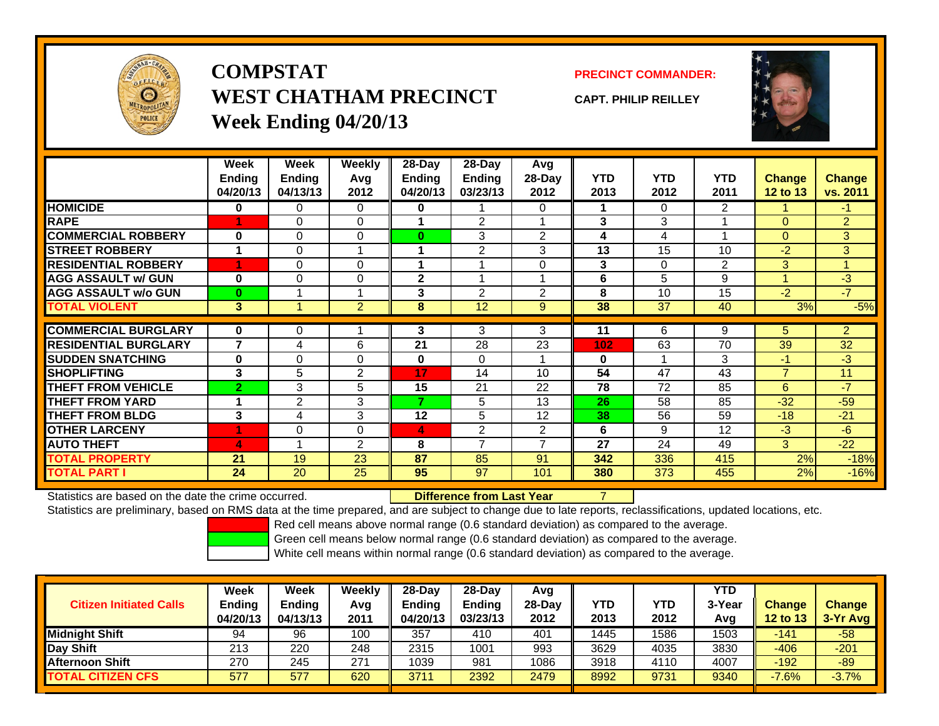

**COMPSTATWEST CHATHAM PRECINCTWeek Ending 04/20/13**

**PRECINCT COMMANDER:**

**CAPT. PHILIP REILLEY**



|                             | Week           | Week          | <b>Weekly</b>  | 28-Day        | 28-Day         | Avg            |            |            |                |                |                |
|-----------------------------|----------------|---------------|----------------|---------------|----------------|----------------|------------|------------|----------------|----------------|----------------|
|                             | <b>Ending</b>  | <b>Ending</b> | Avg            | <b>Ending</b> | Ending         | $28-Day$       | <b>YTD</b> | <b>YTD</b> | <b>YTD</b>     | Change         | Change         |
|                             | 04/20/13       | 04/13/13      | 2012           | 04/20/13      | 03/23/13       | 2012           | 2013       | 2012       | 2011           | 12 to 13       | vs. 2011       |
| <b>HOMICIDE</b>             | 0              | 0             | $\Omega$       | 0             |                | 0              |            | $\Omega$   | $\overline{2}$ |                | $-1$           |
| <b>RAPE</b>                 | 4              | 0             | 0              |               | $\overline{2}$ |                | 3          | 3          |                | $\Omega$       | $\overline{2}$ |
| <b>COMMERCIAL ROBBERY</b>   | $\bf{0}$       | 0             | $\mathbf 0$    | $\bf{0}$      | 3              | 2              | 4          | 4          |                | $\Omega$       | 3              |
| <b>STREET ROBBERY</b>       | 1              | $\Omega$      | 1              |               | 2              | 3              | 13         | 15         | 10             | $-2$           | 3              |
| <b>RESIDENTIAL ROBBERY</b>  | 4              | $\Omega$      | $\Omega$       |               |                | $\Omega$       | 3          | $\Omega$   | 2              | 3              | 1              |
| <b>AGG ASSAULT w/ GUN</b>   | 0              | $\Omega$      | $\Omega$       | $\mathbf{2}$  |                |                | 6          | 5          | 9              | $\overline{A}$ | $-3$           |
| <b>AGG ASSAULT w/o GUN</b>  | $\bf{0}$       |               | 1              | 3             | $\mathfrak{p}$ | $\overline{2}$ | 8          | 10         | 15             | $-2$           | $-7$           |
| <b>TOTAL VIOLENT</b>        | 3              | 1             | $\overline{2}$ | 8             | 12             | 9              | 38         | 37         | 40             | 3%             | $-5%$          |
|                             |                |               |                |               |                |                |            |            |                |                |                |
| <b>COMMERCIAL BURGLARY</b>  | $\bf{0}$       | $\Omega$      |                | 3             | 3              | 3              | 11         | 6          | 9              | 5              | $\overline{2}$ |
| <b>RESIDENTIAL BURGLARY</b> | $\overline{7}$ | 4             | 6              | 21            | 28             | 23             | 102        | 63         | 70             | 39             | 32             |
| <b>SUDDEN SNATCHING</b>     | $\bf{0}$       | $\Omega$      | $\Omega$       | $\bf{0}$      | $\Omega$       |                | $\bf{0}$   |            | 3              | $-1$           | $-3$           |
| <b>SHOPLIFTING</b>          | 3              | 5             | 2              | 17            | 14             | 10             | 54         | 47         | 43             | $\overline{7}$ | 11             |
| <b>THEFT FROM VEHICLE</b>   | $\overline{2}$ | 3             | 5              | 15            | 21             | 22             | 78         | 72         | 85             | 6              | $-7$           |
| <b>THEFT FROM YARD</b>      |                | 2             | 3              | 7             | 5              | 13             | 26         | 58         | 85             | $-32$          | $-59$          |
| <b>THEFT FROM BLDG</b>      | 3              | 4             | 3              | 12            | 5              | 12             | 38         | 56         | 59             | $-18$          | $-21$          |
| <b>OTHER LARCENY</b>        | 1              | $\Omega$      | 0              | 4             | 2              | 2              | 6          | 9          | 12             | $-3$           | $-6$           |
| <b>AUTO THEFT</b>           | 4              | 4             | $\overline{2}$ | 8             | $\overline{ }$ | $\overline{ }$ | 27         | 24         | 49             | 3              | $-22$          |
| <b>TOTAL PROPERTY</b>       | 21             | 19            | 23             | 87            | 85             | 91             | 342        | 336        | 415            | 2%             | $-18%$         |
| <b>TOTAL PART I</b>         | 24             | 20            | 25             | 95            | 97             | 101            | 380        | 373        | 455            | 2%             | $-16%$         |

Statistics are based on the date the crime occurred.

## **Difference from Last Year**

Statistics are preliminary, based on RMS data at the time prepared, and are subject to change due to late reports, reclassifications, updated locations, etc.

Red cell means above normal range (0.6 standard deviation) as compared to the average.

Green cell means below normal range (0.6 standard deviation) as compared to the average.

| <b>Citizen Initiated Calls</b> | Week<br><b>Ending</b><br>04/20/13 | <b>Week</b><br><b>Ending</b><br>04/13/13 | <b>Weekly</b><br>Avg<br>2011 | 28-Day<br><b>Ending</b><br>04/20/13 | 28-Dav<br><b>Ending</b><br>03/23/13 | Avg<br>28-Day<br>2012 | YTD<br>2013 | YTD<br>2012 | YTD<br>3-Year<br>Avg | <b>Change</b><br>12 to 13 | <b>Change</b><br>3-Yr Avg |
|--------------------------------|-----------------------------------|------------------------------------------|------------------------------|-------------------------------------|-------------------------------------|-----------------------|-------------|-------------|----------------------|---------------------------|---------------------------|
| <b>Midnight Shift</b>          | 94                                | 96                                       | 100                          | 357                                 | 410                                 | 401                   | 1445        | 1586        | 1503                 | $-141$                    | $-58$                     |
| Day Shift                      | 213                               | 220                                      | 248                          | 2315                                | 1001                                | 993                   | 3629        | 4035        | 3830                 | $-406$                    | $-201$                    |
| <b>Afternoon Shift</b>         | 270                               | 245                                      | 271                          | 1039                                | 981                                 | 1086                  | 3918        | 4110        | 4007                 | $-192$                    | $-89$                     |
| <b>TOTAL CITIZEN CFS</b>       | 577                               | 577                                      | 620                          | 3711                                | 2392                                | 2479                  | 8992        | 9731        | 9340                 | $-7.6%$                   | $-3.7%$                   |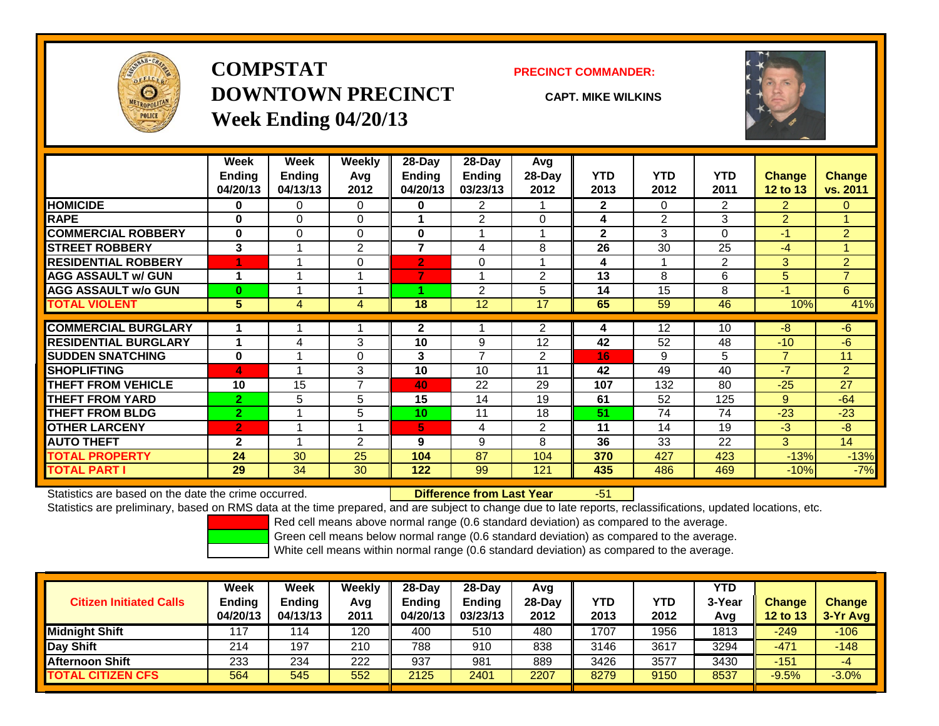

# **COMPSTATDOWNTOWN PRECINCTWeek Ending 04/20/13**

### **PRECINCT COMMANDER:**

**CAPT. MIKE WILKINS**



|                             | Week           | Week     | <b>Weekly</b>  | $28-Day$       | $28$ -Day      | Avg      |              |                |                |                 |                |
|-----------------------------|----------------|----------|----------------|----------------|----------------|----------|--------------|----------------|----------------|-----------------|----------------|
|                             | <b>Ending</b>  | Ending   | Avg            | <b>Ending</b>  | <b>Ending</b>  | 28-Day   | <b>YTD</b>   | <b>YTD</b>     | <b>YTD</b>     | <b>Change</b>   | Change         |
|                             | 04/20/13       | 04/13/13 | 2012           | 04/20/13       | 03/23/13       | 2012     | 2013         | 2012           | 2011           | <b>12 to 13</b> | vs. 2011       |
| <b>HOMICIDE</b>             | $\bf{0}$       | 0        | $\Omega$       | 0              | 2.             |          | $\mathbf{2}$ | $\Omega$       | $\overline{2}$ | $\overline{2}$  | $\Omega$       |
| <b>RAPE</b>                 | 0              | 0        | $\mathbf 0$    |                | $\overline{2}$ | $\Omega$ | 4            | $\overline{2}$ | 3              | $\overline{2}$  |                |
| <b>COMMERCIAL ROBBERY</b>   | $\bf{0}$       | 0        | $\Omega$       | $\bf{0}$       |                |          | $\mathbf{2}$ | 3              | 0              | $-1$            | $\overline{2}$ |
| <b>STREET ROBBERY</b>       | 3              |          | $\overline{2}$ | 7              | 4              | 8        | 26           | 30             | 25             | -4              |                |
| <b>RESIDENTIAL ROBBERY</b>  | и              | и        | $\Omega$       | $\overline{2}$ | 0              |          | 4            | 1              | 2              | $\overline{3}$  | $\overline{2}$ |
| <b>AGG ASSAULT w/ GUN</b>   | 1              |          |                |                |                | 2        | 13           | 8              | 6              | 5               | $\overline{7}$ |
| <b>AGG ASSAULT w/o GUN</b>  | $\bf{0}$       |          |                |                | $\overline{2}$ | 5        | 14           | 15             | 8              | $-1$            | 6              |
| <b>TOTAL VIOLENT</b>        | 5              | 4        | 4              | 18             | 12             | 17       | 65           | 59             | 46             | 10%             | 41%            |
| <b>COMMERCIAL BURGLARY</b>  |                |          |                | $\mathbf{2}$   |                | 2        | 4            | 12             | 10             | -8              | $-6$           |
| <b>RESIDENTIAL BURGLARY</b> | 1              | 4        | 3              | 10             | 9              | 12       | 42           | 52             | 48             | $-10$           | $-6$           |
| <b>SUDDEN SNATCHING</b>     | $\bf{0}$       |          | $\Omega$       | 3              | 7              | 2        | 16           | 9              | 5              | $\overline{7}$  | 11             |
| <b>SHOPLIFTING</b>          | 4              |          | 3              | 10             | 10             | 11       | 42           | 49             | 40             | $-7$            | $\overline{2}$ |
| <b>THEFT FROM VEHICLE</b>   | 10             | 15       | $\overline{7}$ | 40             | 22             | 29       | 107          | 132            | 80             | $-25$           | 27             |
| <b>THEFT FROM YARD</b>      | $\overline{2}$ | 5        | 5              | 15             | 14             | 19       | 61           | 52             | 125            | 9               | $-64$          |
| <b>THEFT FROM BLDG</b>      | $\overline{2}$ |          | 5              | 10             | 11             | 18       | 51           | 74             | 74             | $-23$           | $-23$          |
| <b>OTHER LARCENY</b>        | $\overline{2}$ |          |                | 5              | 4              | 2        | 11           | 14             | 19             | -3              | -8             |
| <b>AUTO THEFT</b>           | $\mathbf{2}$   |          | $\overline{2}$ | 9              | 9              | 8        | 36           | 33             | 22             | 3               | 14             |
| <b>TOTAL PROPERTY</b>       | 24             | 30       | 25             | 104            | 87             | 104      | 370          | 427            | 423            | $-13%$          | $-13%$         |
| <b>TOTAL PART I</b>         | 29             | 34       | 30             | 122            | 99             | 121      | 435          | 486            | 469            | $-10%$          | $-7%$          |

Statistics are based on the date the crime occurred. **Difference from Last Year** 

r - 51

Statistics are preliminary, based on RMS data at the time prepared, and are subject to change due to late reports, reclassifications, updated locations, etc.

Red cell means above normal range (0.6 standard deviation) as compared to the average.

Green cell means below normal range (0.6 standard deviation) as compared to the average.

| <b>Citizen Initiated Calls</b> | Week<br><b>Ending</b><br>04/20/13 | Week<br><b>Ending</b><br>04/13/13 | Weekly<br>Avg<br>2011 | $28-Day$<br>Ending<br>04/20/13 | $28-Day$<br><b>Ending</b><br>03/23/13 | Avg<br>28-Dav<br>2012 | YTD<br>2013 | <b>YTD</b><br>2012 | <b>YTD</b><br>3-Year<br>Avg | <b>Change</b><br>12 to 13 | <b>Change</b><br>3-Yr Avg |
|--------------------------------|-----------------------------------|-----------------------------------|-----------------------|--------------------------------|---------------------------------------|-----------------------|-------------|--------------------|-----------------------------|---------------------------|---------------------------|
| <b>Midnight Shift</b>          | 117                               | 14                                | 120                   | 400                            | 510                                   | 480                   | 1707        | 1956               | 1813                        | $-249$                    | $-106$                    |
| Day Shift                      | 214                               | 197                               | 210                   | 788                            | 910                                   | 838                   | 3146        | 3617               | 3294                        | $-471$                    | $-148$                    |
| <b>Afternoon Shift</b>         | 233                               | 234                               | 222                   | 937                            | 981                                   | 889                   | 3426        | 3577               | 3430                        | $-151$                    | -4                        |
| <b>TOTAL CITIZEN CFS</b>       | 564                               | 545                               | 552                   | 2125                           | 2401                                  | 2207                  | 8279        | 9150               | 8537                        | $-9.5%$                   | $-3.0\%$                  |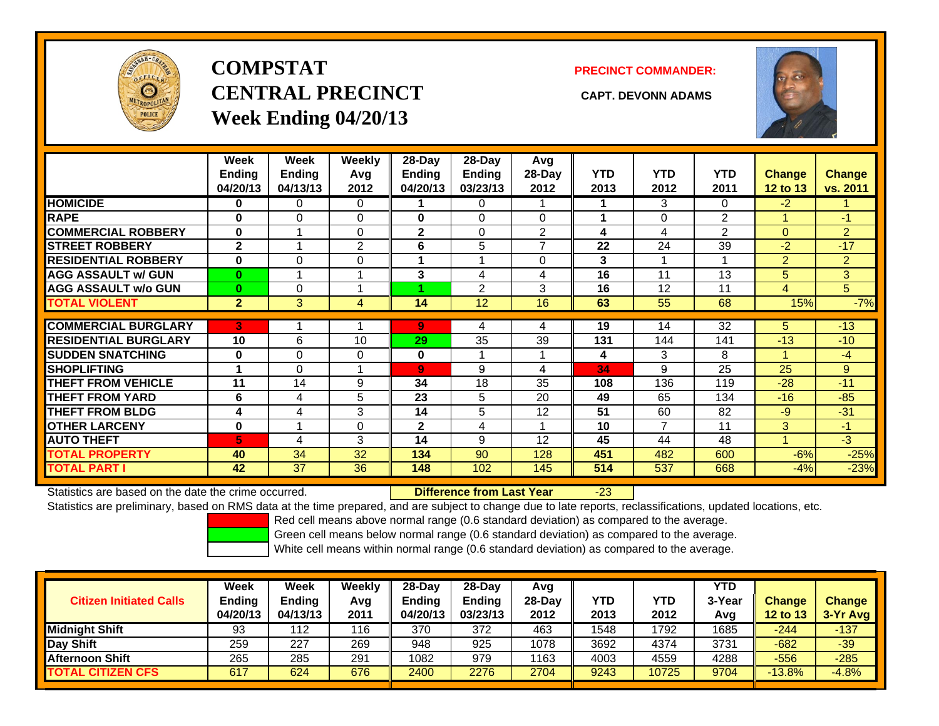

# **COMPSTATCENTRAL PRECINCT CAPT. DEVONN ADAMSWeek Ending 04/20/13**

**PRECINCT COMMANDER:**



|                             | Week<br><b>Ending</b><br>04/20/13 | Week<br><b>Ending</b><br>04/13/13 | <b>Weekly</b><br>Avq<br>2012 | 28-Day<br>Ending<br>04/20/13 | 28-Day<br><b>Ending</b><br>03/23/13 | Avg<br>$28-Day$<br>2012 | <b>YTD</b><br>2013 | <b>YTD</b><br>2012 | <b>YTD</b><br>2011 | <b>Change</b><br><b>12 to 13</b> | <b>Change</b><br>vs. 2011 |
|-----------------------------|-----------------------------------|-----------------------------------|------------------------------|------------------------------|-------------------------------------|-------------------------|--------------------|--------------------|--------------------|----------------------------------|---------------------------|
| <b>HOMICIDE</b>             | 0                                 | 0                                 | $\Omega$                     |                              | 0                                   |                         |                    | 3                  | 0                  | $-2$                             |                           |
| <b>RAPE</b>                 | $\bf{0}$                          | $\Omega$                          | $\Omega$                     | 0                            | 0                                   | 0                       |                    | $\Omega$           | $\overline{2}$     |                                  | $-1$                      |
| <b>COMMERCIAL ROBBERY</b>   | $\bf{0}$                          |                                   | $\Omega$                     | $\overline{2}$               | 0                                   | $\overline{2}$          | 4                  | 4                  | $\overline{2}$     | $\Omega$                         | $\overline{2}$            |
| <b>STREET ROBBERY</b>       | $\mathbf{2}$                      |                                   | 2                            | 6                            | 5                                   | $\overline{ }$          | 22                 | 24                 | 39                 | $-2$                             | $-17$                     |
| <b>RESIDENTIAL ROBBERY</b>  | $\bf{0}$                          | $\Omega$                          | $\Omega$                     |                              |                                     | $\Omega$                | 3                  |                    | 1                  | $\overline{2}$                   | $\overline{2}$            |
| <b>AGG ASSAULT w/ GUN</b>   | $\bf{0}$                          | 1                                 |                              | 3                            | 4                                   | 4                       | 16                 | 11                 | 13                 | 5                                | 3                         |
| <b>AGG ASSAULT w/o GUN</b>  | $\bf{0}$                          | $\Omega$                          |                              |                              | $\overline{2}$                      | 3                       | 16                 | 12                 | 11                 | 4                                | 5                         |
| <b>TOTAL VIOLENT</b>        | $\overline{2}$                    | 3                                 | 4                            | 14                           | 12                                  | 16                      | 63                 | 55                 | 68                 | 15%                              | $-7%$                     |
| <b>COMMERCIAL BURGLARY</b>  |                                   |                                   |                              |                              |                                     |                         |                    |                    |                    |                                  |                           |
|                             | 3                                 |                                   |                              | 9                            | 4                                   | 4                       | 19                 | 14                 | 32                 | 5                                | $-13$                     |
| <b>RESIDENTIAL BURGLARY</b> | 10                                | 6                                 | 10                           | 29                           | 35                                  | 39                      | 131                | 144                | 141                | $-13$                            | $-10$                     |
| <b>SUDDEN SNATCHING</b>     | $\bf{0}$                          | $\Omega$                          | $\Omega$                     | 0                            |                                     |                         | 4                  | 3                  | 8                  |                                  | $-4$                      |
| <b>SHOPLIFTING</b>          |                                   | 0                                 |                              | $\overline{9}$               | 9                                   | 4                       | 34                 | 9                  | 25                 | 25                               | 9                         |
| <b>THEFT FROM VEHICLE</b>   | 11                                | 14                                | 9                            | 34                           | 18                                  | 35                      | 108                | 136                | 119                | $-28$                            | $-11$                     |
| <b>THEFT FROM YARD</b>      | 6                                 | 4                                 | 5                            | 23                           | 5                                   | 20                      | 49                 | 65                 | 134                | $-16$                            | $-85$                     |
| <b>THEFT FROM BLDG</b>      | 4                                 | 4                                 | 3                            | 14                           | 5                                   | 12                      | 51                 | 60                 | 82                 | $-9$                             | $-31$                     |
| <b>OTHER LARCENY</b>        | 0                                 |                                   | 0                            | $\mathbf{2}$                 | 4                                   |                         | 10                 | $\overline{7}$     | 11                 | 3                                | $-1$                      |
| <b>AUTO THEFT</b>           | 5                                 | 4                                 | 3                            | 14                           | 9                                   | 12                      | 45                 | 44                 | 48                 |                                  | $-3$                      |
| <b>TOTAL PROPERTY</b>       | 40                                | 34                                | 32                           | 134                          | 90                                  | 128                     | 451                | 482                | 600                | $-6%$                            | $-25%$                    |
| <b>TOTAL PART I</b>         | 42                                | 37                                | 36                           | 148                          | 102                                 | 145                     | 514                | 537                | 668                | $-4%$                            | $-23%$                    |

Statistics are based on the date the crime occurred. **Difference from Last Year** 

-23

Statistics are preliminary, based on RMS data at the time prepared, and are subject to change due to late reports, reclassifications, updated locations, etc.

Red cell means above normal range (0.6 standard deviation) as compared to the average.

Green cell means below normal range (0.6 standard deviation) as compared to the average.

|                                | Week                      | Week               | Weekly      | $28-Dav$                  | 28-Day                    | Avg              |                    |                    | <b>YTD</b>    |                                  |                             |
|--------------------------------|---------------------------|--------------------|-------------|---------------------------|---------------------------|------------------|--------------------|--------------------|---------------|----------------------------------|-----------------------------|
| <b>Citizen Initiated Calls</b> | <b>Ending</b><br>04/20/13 | Ending<br>04/13/13 | Avg<br>2011 | <b>Ending</b><br>04/20/13 | <b>Ending</b><br>03/23/13 | $28-Day$<br>2012 | <b>YTD</b><br>2013 | <b>YTD</b><br>2012 | 3-Year<br>Avg | <b>Change</b><br><b>12 to 13</b> | <b>Change</b><br>$3-Yr$ Avg |
| <b>Midnight Shift</b>          | 93                        | 112                | 116         | 370                       | 372                       | 463              | 1548               | 1792               | 1685          | $-244$                           | $-137$                      |
| Day Shift                      | 259                       | 227                | 269         | 948                       | 925                       | 1078             | 3692               | 4374               | 3731          | $-682$                           | $-39$                       |
| <b>Afternoon Shift</b>         | 265                       | 285                | 291         | 1082                      | 979                       | 1163             | 4003               | 4559               | 4288          | $-556$                           | $-285$                      |
| <b>TOTAL CITIZEN CFS</b>       | 617                       | 624                | 676         | 2400                      | 2276                      | 2704             | 9243               | 10725              | 9704          | $-13.8%$                         | $-4.8%$                     |
|                                |                           |                    |             |                           |                           |                  |                    |                    |               |                                  |                             |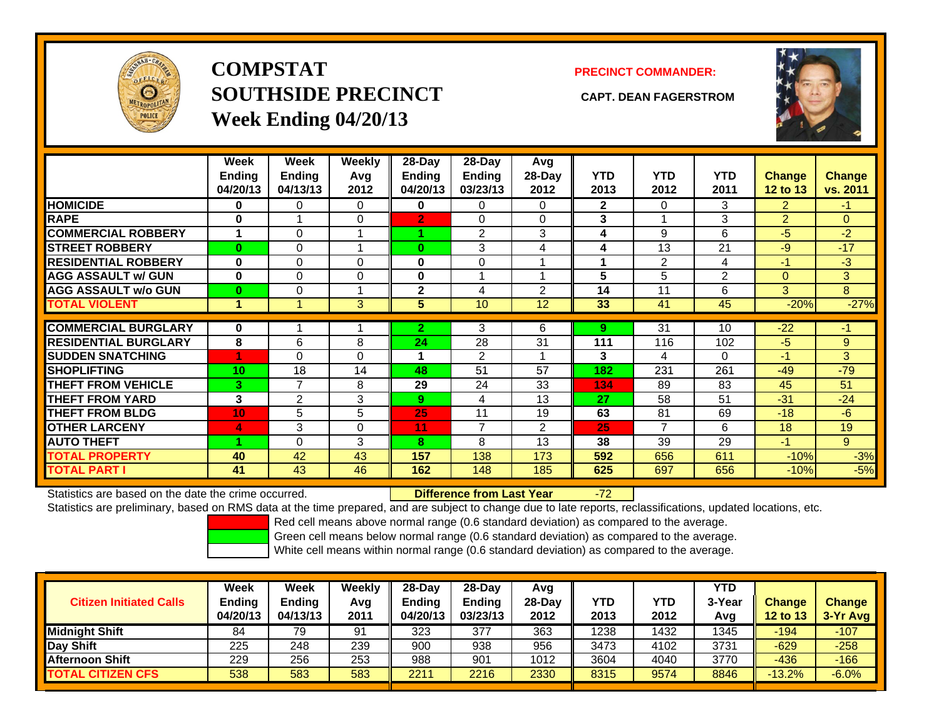

**COMPSTATSOUTHSIDE PRECINCT CAPT. DEAN FAGERSTROMWeek Ending 04/20/13**

## **PRECINCT COMMANDER:**



|                             | Week<br><b>Ending</b><br>04/20/13 | Week<br>Ending<br>04/13/13 | Weekly<br>Avq<br>2012 | $28-Day$<br>Ending<br>04/20/13 | $28$ -Day<br><b>Ending</b><br>03/23/13 | Avg<br>$28-Day$<br>2012 | <b>YTD</b><br>2013 | <b>YTD</b><br>2012 | <b>YTD</b><br>2011 | <b>Change</b><br>12 to 13 | <b>Change</b><br>vs. 2011 |
|-----------------------------|-----------------------------------|----------------------------|-----------------------|--------------------------------|----------------------------------------|-------------------------|--------------------|--------------------|--------------------|---------------------------|---------------------------|
| <b>HOMICIDE</b>             | 0                                 | 0                          | 0                     | 0                              | 0                                      | 0                       | $\mathbf{2}$       | $\Omega$           | 3                  | 2                         | $-1$                      |
| <b>RAPE</b>                 | 0                                 |                            | $\Omega$              | $\overline{2}$                 | $\Omega$                               | $\Omega$                | 3                  |                    | 3                  | 2                         | $\Omega$                  |
| <b>COMMERCIAL ROBBERY</b>   | 1                                 | 0                          |                       | и                              | 2                                      | 3                       | 4                  | 9                  | 6                  | -5                        | $-2$                      |
| <b>STREET ROBBERY</b>       | $\bf{0}$                          | 0                          |                       | $\bf{0}$                       | 3                                      | 4                       | 4                  | 13                 | 21                 | $-9$                      | $-17$                     |
| <b>RESIDENTIAL ROBBERY</b>  | $\bf{0}$                          | 0                          | $\Omega$              | 0                              | $\Omega$                               |                         |                    | 2                  | 4                  | $-1$                      | $-3$                      |
| <b>AGG ASSAULT w/ GUN</b>   | $\bf{0}$                          | 0                          | $\mathbf 0$           | 0                              |                                        |                         | 5                  | 5                  | 2                  | $\mathbf{0}$              | 3                         |
| <b>AGG ASSAULT w/o GUN</b>  | $\bf{0}$                          | 0                          |                       | $\mathbf{2}$                   | 4                                      | 2                       | 14                 | 11                 | 6                  | 3                         | 8                         |
| <b>TOTAL VIOLENT</b>        | 1                                 |                            | 3 <sup>5</sup>        | 5                              | 10                                     | 12                      | 33                 | 41                 | 45                 | $-20%$                    | $-27%$                    |
|                             |                                   |                            |                       |                                |                                        |                         |                    |                    |                    |                           |                           |
| <b>COMMERCIAL BURGLARY</b>  | 0                                 |                            |                       | $\overline{2}$                 | 3                                      | 6                       | 9                  | 31                 | 10                 | $-22$                     | $-1$                      |
| <b>RESIDENTIAL BURGLARY</b> | 8                                 | 6                          | 8                     | 24                             | 28                                     | 31                      | 111                | 116                | 102                | $-5$                      | 9                         |
| <b>SUDDEN SNATCHING</b>     | 4                                 | 0                          | $\mathbf 0$           |                                | 2                                      |                         | 3                  | 4                  | 0                  | $-1$                      | 3 <sup>1</sup>            |
| <b>SHOPLIFTING</b>          | 10                                | 18                         | 14                    | 48                             | 51                                     | 57                      | 182                | 231                | 261                | $-49$                     | $-79$                     |
| <b>THEFT FROM VEHICLE</b>   | 3                                 | 7                          | 8                     | 29                             | 24                                     | 33                      | 134                | 89                 | 83                 | 45                        | 51                        |
| <b>THEFT FROM YARD</b>      | 3                                 | $\overline{2}$             | 3                     | 9                              | 4                                      | 13                      | 27                 | 58                 | 51                 | $-31$                     | $-24$                     |
| <b>THEFT FROM BLDG</b>      | 10                                | 5                          | 5                     | 25                             | 11                                     | 19                      | 63                 | 81                 | 69                 | $-18$                     | $-6$                      |
| <b>OTHER LARCENY</b>        | 4                                 | 3                          | $\Omega$              | 11                             | 7                                      | $\overline{2}$          | 25                 | $\overline{7}$     | 6                  | 18                        | 19                        |
| <b>AUTO THEFT</b>           |                                   | 0                          | 3                     | 8                              | 8                                      | 13                      | 38                 | 39                 | 29                 | -1                        | 9                         |
| <b>TOTAL PROPERTY</b>       | 40                                | 42                         | 43                    | 157                            | 138                                    | 173                     | 592                | 656                | 611                | $-10%$                    | $-3%$                     |
| <b>TOTAL PART I</b>         | 41                                | 43                         | 46                    | 162                            | 148                                    | 185                     | 625                | 697                | 656                | $-10%$                    | $-5%$                     |

Statistics are based on the date the crime occurred. **Difference from Last Year** 

## r - 72

Statistics are preliminary, based on RMS data at the time prepared, and are subject to change due to late reports, reclassifications, updated locations, etc.

Red cell means above normal range (0.6 standard deviation) as compared to the average.

Green cell means below normal range (0.6 standard deviation) as compared to the average.

| <b>Citizen Initiated Calls</b> | Week<br><b>Ending</b><br>04/20/13 | <b>Week</b><br><b>Ending</b><br>04/13/13 | Weekly<br>Avg<br>2011 | $28-Day$<br>Ending<br>04/20/13 | 28-Dav<br><b>Ending</b><br>03/23/13 | Avq<br>28-Dav<br>2012 | YTD<br>2013 | <b>YTD</b><br>2012 | <b>YTD</b><br>3-Year<br>Avg | <b>Change</b><br><b>12 to 13</b> | <b>Change</b><br>3-Yr Avg |
|--------------------------------|-----------------------------------|------------------------------------------|-----------------------|--------------------------------|-------------------------------------|-----------------------|-------------|--------------------|-----------------------------|----------------------------------|---------------------------|
| <b>Midnight Shift</b>          | 84                                | 79                                       | 91                    | 323                            | 377                                 | 363                   | 1238        | 1432               | 1345                        | $-194$                           | $-107$                    |
| Day Shift                      | 225                               | 248                                      | 239                   | 900                            | 938                                 | 956                   | 3473        | 4102               | 3731                        | $-629$                           | $-258$                    |
| <b>Afternoon Shift</b>         | 229                               | 256                                      | 253                   | 988                            | 901                                 | 1012                  | 3604        | 4040               | 3770                        | $-436$                           | $-166$                    |
| <b>TOTAL CITIZEN CFS</b>       | 538                               | 583                                      | 583                   | 2211                           | 2216                                | 2330                  | 8315        | 9574               | 8846                        | $-13.2%$                         | $-6.0%$                   |
|                                |                                   |                                          |                       |                                |                                     |                       |             |                    |                             |                                  |                           |